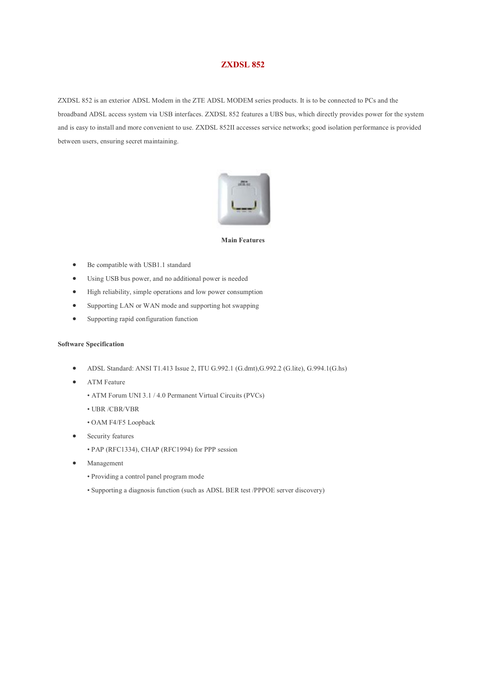## **ZXDSL 852**

ZXDSL 852 is an exterior ADSL Modem in the ZTE ADSL MODEM series products. It is to be connected to PCs and the broadband ADSL access system via USB interfaces. ZXDSL 852 features a UBS bus, which directly provides power for the system and is easy to install and more convenient to use. ZXDSL 852II accesses service networks; good isolation performance is provided between users, ensuring secret maintaining.



## **Main Features**

- Be compatible with USB1.1 standard
- Using USB bus power, and no additional power is needed
- High reliability, simple operations and low power consumption
- Supporting LAN or WAN mode and supporting hot swapping
- Supporting rapid configuration function

## **Software Specification**

- ADSL Standard: ANSI T1.413 Issue 2, ITU G.992.1 (G.dmt),G.992.2 (G.lite), G.994.1(G.hs)
- ATM Feature
	- ATM Forum UNI 3.1 / 4.0 Permanent Virtual Circuits (PVCs)
	- UBR /CBR/VBR
	- OAM F4/F5 Loopback
- Security features
	- PAP (RFC1334), CHAP (RFC1994) for PPP session
- Management
	- Providing a control panel program mode
	- Supporting a diagnosis function (such as ADSL BER test /PPPOE server discovery)